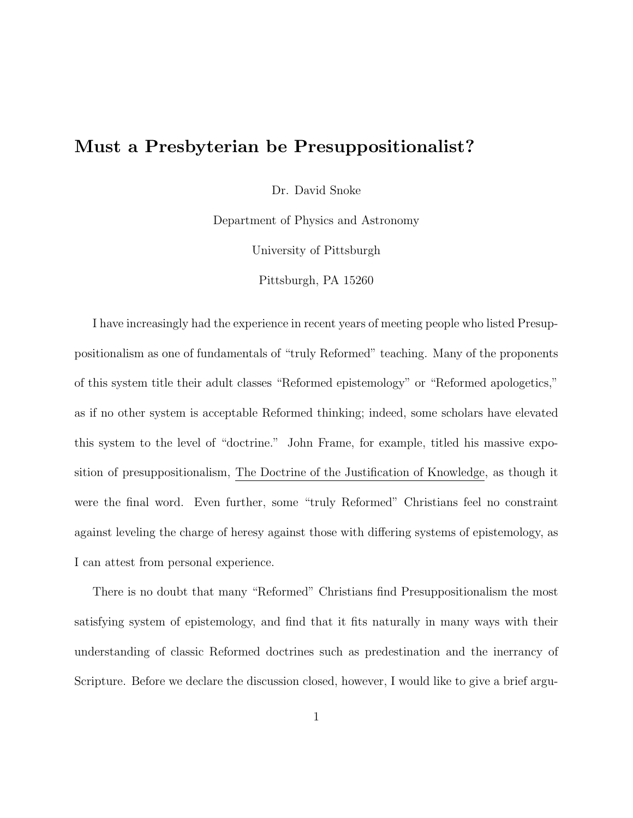# **Must a Presbyterian be Presuppositionalist?**

Dr. David Snoke

Department of Physics and Astronomy

University of Pittsburgh

Pittsburgh, PA 15260

I have increasingly had the experience in recent years of meeting people who listed Presuppositionalism as one of fundamentals of "truly Reformed" teaching. Many of the proponents of this system title their adult classes "Reformed epistemology" or "Reformed apologetics," as if no other system is acceptable Reformed thinking; indeed, some scholars have elevated this system to the level of "doctrine." John Frame, for example, titled his massive exposition of presuppositionalism, The Doctrine of the Justification of Knowledge, as though it were the final word. Even further, some "truly Reformed" Christians feel no constraint against leveling the charge of heresy against those with differing systems of epistemology, as I can attest from personal experience.

There is no doubt that many "Reformed" Christians find Presuppositionalism the most satisfying system of epistemology, and find that it fits naturally in many ways with their understanding of classic Reformed doctrines such as predestination and the inerrancy of Scripture. Before we declare the discussion closed, however, I would like to give a brief argu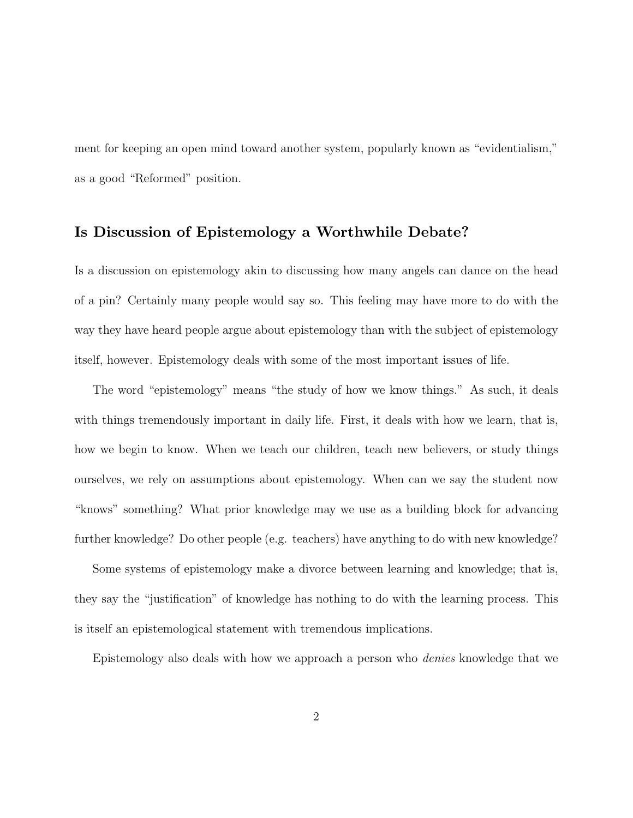ment for keeping an open mind toward another system, popularly known as "evidentialism," as a good "Reformed" position.

## **Is Discussion of Epistemology a Worthwhile Debate?**

Is a discussion on epistemology akin to discussing how many angels can dance on the head of a pin? Certainly many people would say so. This feeling may have more to do with the way they have heard people argue about epistemology than with the subject of epistemology itself, however. Epistemology deals with some of the most important issues of life.

The word "epistemology" means "the study of how we know things." As such, it deals with things tremendously important in daily life. First, it deals with how we learn, that is, how we begin to know. When we teach our children, teach new believers, or study things ourselves, we rely on assumptions about epistemology. When can we say the student now "knows" something? What prior knowledge may we use as a building block for advancing further knowledge? Do other people (e.g. teachers) have anything to do with new knowledge?

Some systems of epistemology make a divorce between learning and knowledge; that is, they say the "justification" of knowledge has nothing to do with the learning process. This is itself an epistemological statement with tremendous implications.

Epistemology also deals with how we approach a person who denies knowledge that we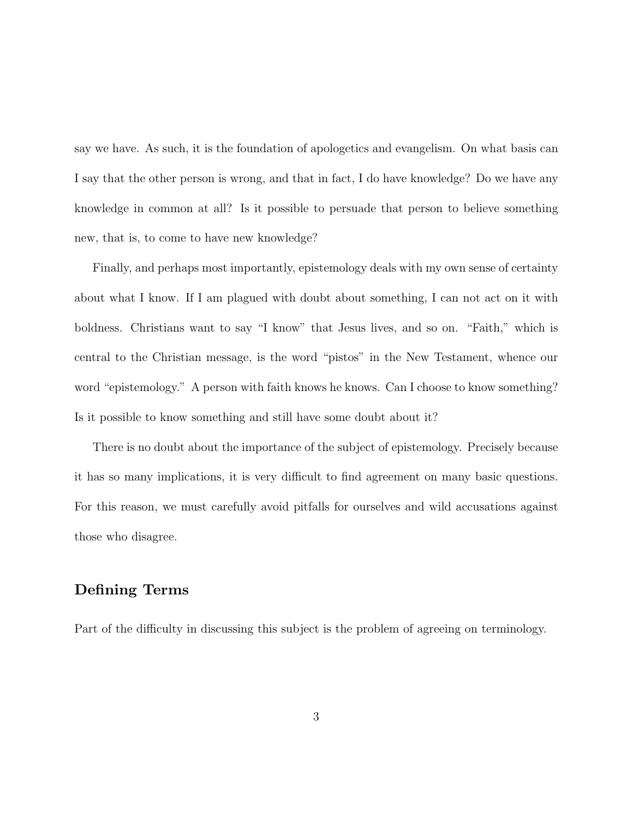say we have. As such, it is the foundation of apologetics and evangelism. On what basis can I say that the other person is wrong, and that in fact, I do have knowledge? Do we have any knowledge in common at all? Is it possible to persuade that person to believe something new, that is, to come to have new knowledge?

Finally, and perhaps most importantly, epistemology deals with my own sense of certainty about what I know. If I am plagued with doubt about something, I can not act on it with boldness. Christians want to say "I know" that Jesus lives, and so on. "Faith," which is central to the Christian message, is the word "pistos" in the New Testament, whence our word "epistemology." A person with faith knows he knows. Can I choose to know something? Is it possible to know something and still have some doubt about it?

There is no doubt about the importance of the subject of epistemology. Precisely because it has so many implications, it is very difficult to find agreement on many basic questions. For this reason, we must carefully avoid pitfalls for ourselves and wild accusations against those who disagree.

## **Defining Terms**

Part of the difficulty in discussing this subject is the problem of agreeing on terminology.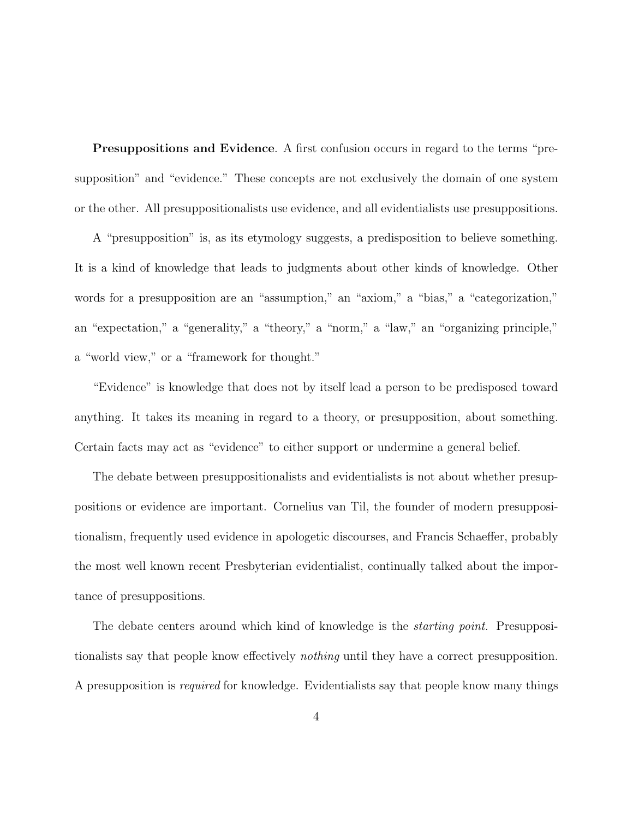**Presuppositions and Evidence**. A first confusion occurs in regard to the terms "presupposition" and "evidence." These concepts are not exclusively the domain of one system or the other. All presuppositionalists use evidence, and all evidentialists use presuppositions.

A "presupposition" is, as its etymology suggests, a predisposition to believe something. It is a kind of knowledge that leads to judgments about other kinds of knowledge. Other words for a presupposition are an "assumption," an "axiom," a "bias," a "categorization," an "expectation," a "generality," a "theory," a "norm," a "law," an "organizing principle," a "world view," or a "framework for thought."

"Evidence" is knowledge that does not by itself lead a person to be predisposed toward anything. It takes its meaning in regard to a theory, or presupposition, about something. Certain facts may act as "evidence" to either support or undermine a general belief.

The debate between presuppositionalists and evidentialists is not about whether presuppositions or evidence are important. Cornelius van Til, the founder of modern presuppositionalism, frequently used evidence in apologetic discourses, and Francis Schaeffer, probably the most well known recent Presbyterian evidentialist, continually talked about the importance of presuppositions.

The debate centers around which kind of knowledge is the *starting point*. Presuppositionalists say that people know effectively nothing until they have a correct presupposition. A presupposition is required for knowledge. Evidentialists say that people know many things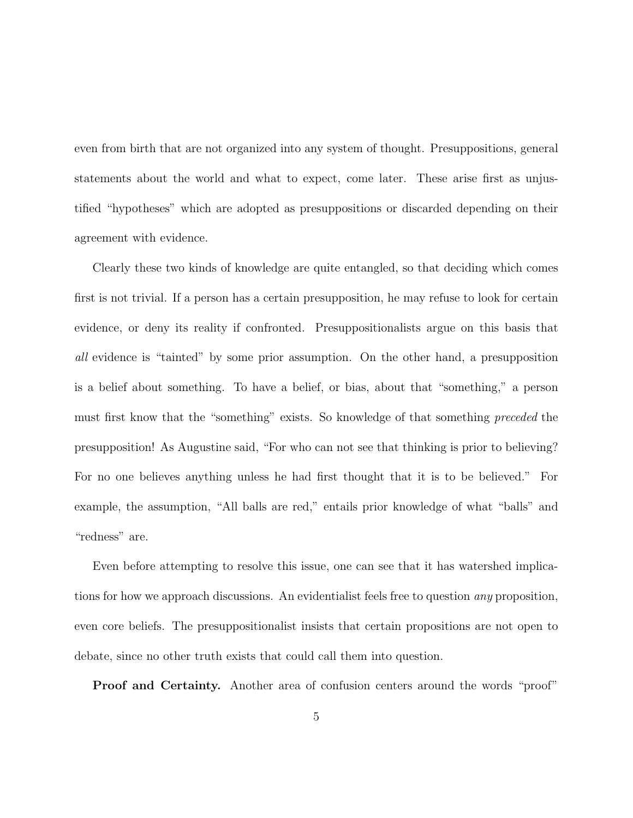even from birth that are not organized into any system of thought. Presuppositions, general statements about the world and what to expect, come later. These arise first as unjustified "hypotheses" which are adopted as presuppositions or discarded depending on their agreement with evidence.

Clearly these two kinds of knowledge are quite entangled, so that deciding which comes first is not trivial. If a person has a certain presupposition, he may refuse to look for certain evidence, or deny its reality if confronted. Presuppositionalists argue on this basis that all evidence is "tainted" by some prior assumption. On the other hand, a presupposition is a belief about something. To have a belief, or bias, about that "something," a person must first know that the "something" exists. So knowledge of that something preceded the presupposition! As Augustine said, "For who can not see that thinking is prior to believing? For no one believes anything unless he had first thought that it is to be believed." For example, the assumption, "All balls are red," entails prior knowledge of what "balls" and "redness" are.

Even before attempting to resolve this issue, one can see that it has watershed implications for how we approach discussions. An evidentialist feels free to question any proposition, even core beliefs. The presuppositionalist insists that certain propositions are not open to debate, since no other truth exists that could call them into question.

**Proof and Certainty.** Another area of confusion centers around the words "proof"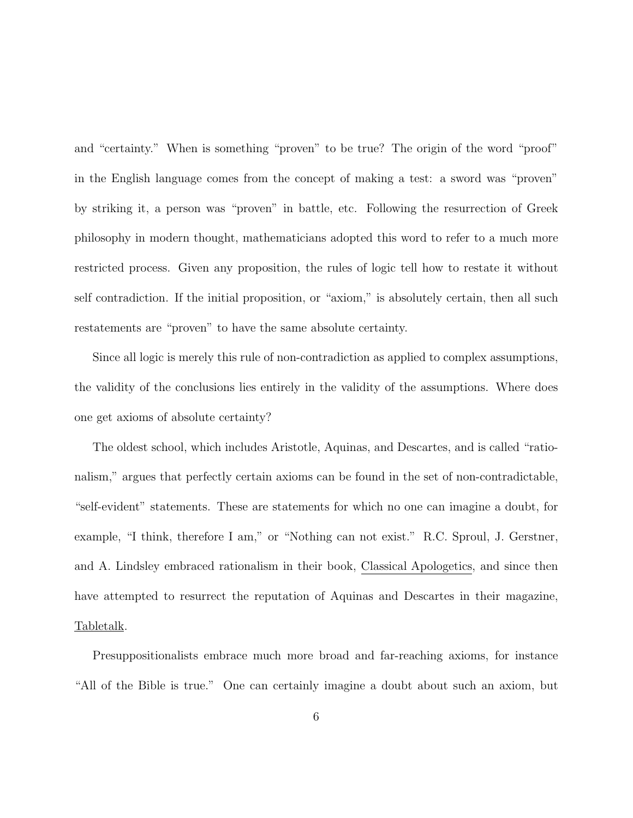and "certainty." When is something "proven" to be true? The origin of the word "proof" in the English language comes from the concept of making a test: a sword was "proven" by striking it, a person was "proven" in battle, etc. Following the resurrection of Greek philosophy in modern thought, mathematicians adopted this word to refer to a much more restricted process. Given any proposition, the rules of logic tell how to restate it without self contradiction. If the initial proposition, or "axiom," is absolutely certain, then all such restatements are "proven" to have the same absolute certainty.

Since all logic is merely this rule of non-contradiction as applied to complex assumptions, the validity of the conclusions lies entirely in the validity of the assumptions. Where does one get axioms of absolute certainty?

The oldest school, which includes Aristotle, Aquinas, and Descartes, and is called "rationalism," argues that perfectly certain axioms can be found in the set of non-contradictable, "self-evident" statements. These are statements for which no one can imagine a doubt, for example, "I think, therefore I am," or "Nothing can not exist." R.C. Sproul, J. Gerstner, and A. Lindsley embraced rationalism in their book, Classical Apologetics, and since then have attempted to resurrect the reputation of Aquinas and Descartes in their magazine, Tabletalk.

Presuppositionalists embrace much more broad and far-reaching axioms, for instance "All of the Bible is true." One can certainly imagine a doubt about such an axiom, but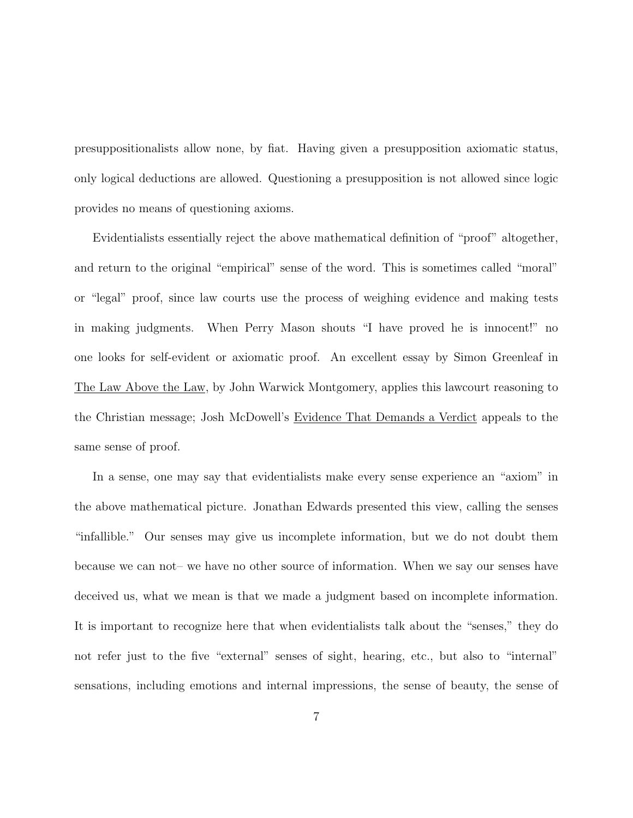presuppositionalists allow none, by fiat. Having given a presupposition axiomatic status, only logical deductions are allowed. Questioning a presupposition is not allowed since logic provides no means of questioning axioms.

Evidentialists essentially reject the above mathematical definition of "proof" altogether, and return to the original "empirical" sense of the word. This is sometimes called "moral" or "legal" proof, since law courts use the process of weighing evidence and making tests in making judgments. When Perry Mason shouts "I have proved he is innocent!" no one looks for self-evident or axiomatic proof. An excellent essay by Simon Greenleaf in The Law Above the Law, by John Warwick Montgomery, applies this lawcourt reasoning to the Christian message; Josh McDowell's Evidence That Demands a Verdict appeals to the same sense of proof.

In a sense, one may say that evidentialists make every sense experience an "axiom" in the above mathematical picture. Jonathan Edwards presented this view, calling the senses "infallible." Our senses may give us incomplete information, but we do not doubt them because we can not– we have no other source of information. When we say our senses have deceived us, what we mean is that we made a judgment based on incomplete information. It is important to recognize here that when evidentialists talk about the "senses," they do not refer just to the five "external" senses of sight, hearing, etc., but also to "internal" sensations, including emotions and internal impressions, the sense of beauty, the sense of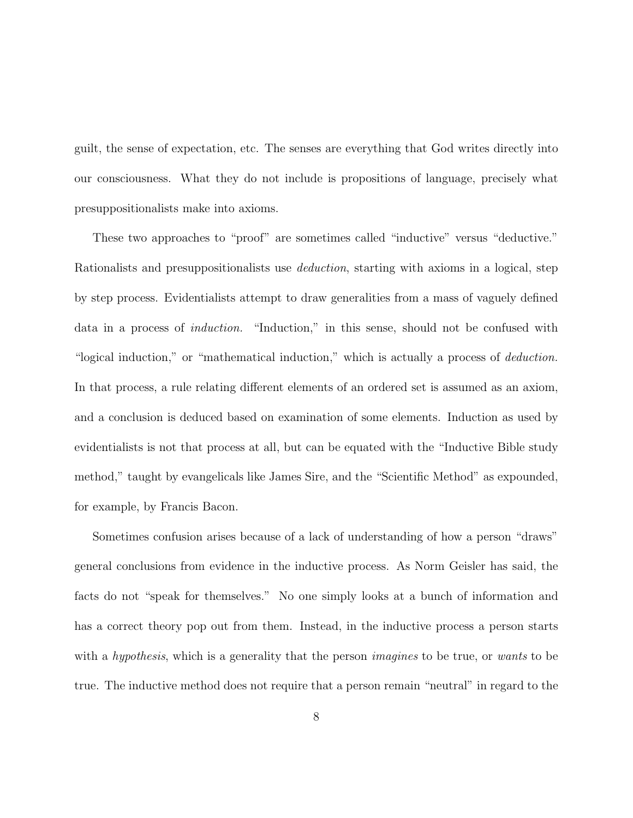guilt, the sense of expectation, etc. The senses are everything that God writes directly into our consciousness. What they do not include is propositions of language, precisely what presuppositionalists make into axioms.

These two approaches to "proof" are sometimes called "inductive" versus "deductive." Rationalists and presuppositionalists use deduction, starting with axioms in a logical, step by step process. Evidentialists attempt to draw generalities from a mass of vaguely defined data in a process of induction. "Induction," in this sense, should not be confused with "logical induction," or "mathematical induction," which is actually a process of *deduction*. In that process, a rule relating different elements of an ordered set is assumed as an axiom, and a conclusion is deduced based on examination of some elements. Induction as used by evidentialists is not that process at all, but can be equated with the "Inductive Bible study method," taught by evangelicals like James Sire, and the "Scientific Method" as expounded, for example, by Francis Bacon.

Sometimes confusion arises because of a lack of understanding of how a person "draws" general conclusions from evidence in the inductive process. As Norm Geisler has said, the facts do not "speak for themselves." No one simply looks at a bunch of information and has a correct theory pop out from them. Instead, in the inductive process a person starts with a *hypothesis*, which is a generality that the person *imagines* to be true, or wants to be true. The inductive method does not require that a person remain "neutral" in regard to the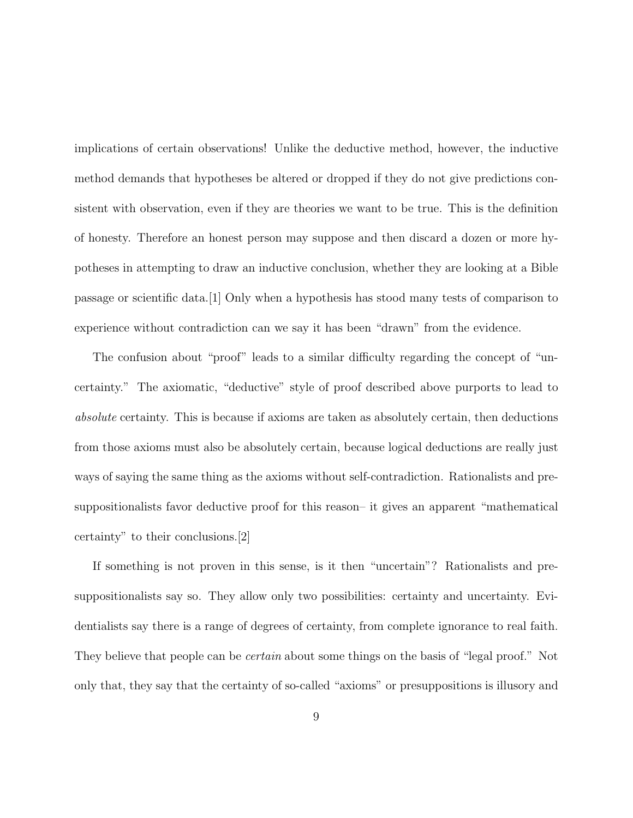implications of certain observations! Unlike the deductive method, however, the inductive method demands that hypotheses be altered or dropped if they do not give predictions consistent with observation, even if they are theories we want to be true. This is the definition of honesty. Therefore an honest person may suppose and then discard a dozen or more hypotheses in attempting to draw an inductive conclusion, whether they are looking at a Bible passage or scientific data.[1] Only when a hypothesis has stood many tests of comparison to experience without contradiction can we say it has been "drawn" from the evidence.

The confusion about "proof" leads to a similar difficulty regarding the concept of "uncertainty." The axiomatic, "deductive" style of proof described above purports to lead to absolute certainty. This is because if axioms are taken as absolutely certain, then deductions from those axioms must also be absolutely certain, because logical deductions are really just ways of saying the same thing as the axioms without self-contradiction. Rationalists and presuppositionalists favor deductive proof for this reason– it gives an apparent "mathematical certainty" to their conclusions.[2]

If something is not proven in this sense, is it then "uncertain"? Rationalists and presuppositionalists say so. They allow only two possibilities: certainty and uncertainty. Evidentialists say there is a range of degrees of certainty, from complete ignorance to real faith. They believe that people can be *certain* about some things on the basis of "legal proof." Not only that, they say that the certainty of so-called "axioms" or presuppositions is illusory and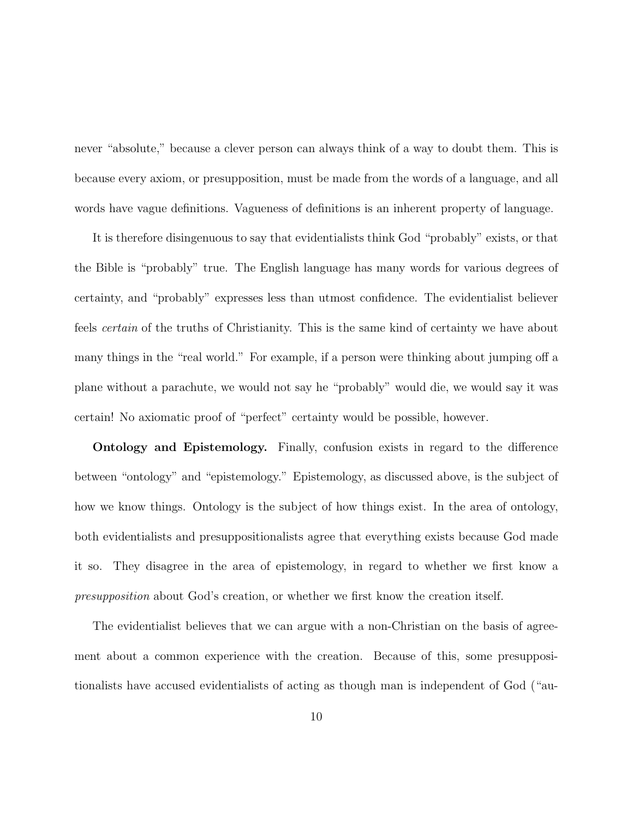never "absolute," because a clever person can always think of a way to doubt them. This is because every axiom, or presupposition, must be made from the words of a language, and all words have vague definitions. Vagueness of definitions is an inherent property of language.

It is therefore disingenuous to say that evidentialists think God "probably" exists, or that the Bible is "probably" true. The English language has many words for various degrees of certainty, and "probably" expresses less than utmost confidence. The evidentialist believer feels certain of the truths of Christianity. This is the same kind of certainty we have about many things in the "real world." For example, if a person were thinking about jumping off a plane without a parachute, we would not say he "probably" would die, we would say it was certain! No axiomatic proof of "perfect" certainty would be possible, however.

**Ontology and Epistemology.** Finally, confusion exists in regard to the difference between "ontology" and "epistemology." Epistemology, as discussed above, is the subject of how we know things. Ontology is the subject of how things exist. In the area of ontology, both evidentialists and presuppositionalists agree that everything exists because God made it so. They disagree in the area of epistemology, in regard to whether we first know a presupposition about God's creation, or whether we first know the creation itself.

The evidentialist believes that we can argue with a non-Christian on the basis of agreement about a common experience with the creation. Because of this, some presuppositionalists have accused evidentialists of acting as though man is independent of God ("au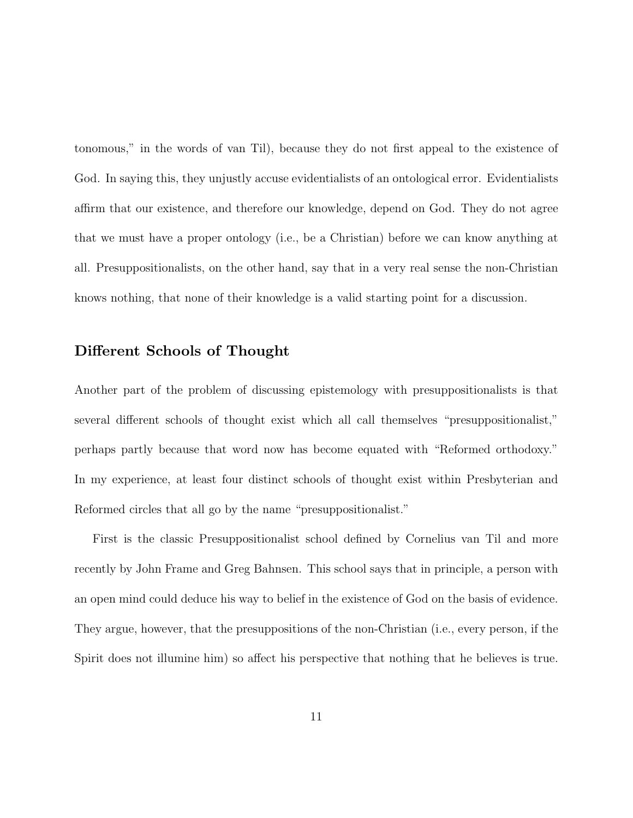tonomous," in the words of van Til), because they do not first appeal to the existence of God. In saying this, they unjustly accuse evidentialists of an ontological error. Evidentialists affirm that our existence, and therefore our knowledge, depend on God. They do not agree that we must have a proper ontology (i.e., be a Christian) before we can know anything at all. Presuppositionalists, on the other hand, say that in a very real sense the non-Christian knows nothing, that none of their knowledge is a valid starting point for a discussion.

## **Different Schools of Thought**

Another part of the problem of discussing epistemology with presuppositionalists is that several different schools of thought exist which all call themselves "presuppositionalist," perhaps partly because that word now has become equated with "Reformed orthodoxy." In my experience, at least four distinct schools of thought exist within Presbyterian and Reformed circles that all go by the name "presuppositionalist."

First is the classic Presuppositionalist school defined by Cornelius van Til and more recently by John Frame and Greg Bahnsen. This school says that in principle, a person with an open mind could deduce his way to belief in the existence of God on the basis of evidence. They argue, however, that the presuppositions of the non-Christian (i.e., every person, if the Spirit does not illumine him) so affect his perspective that nothing that he believes is true.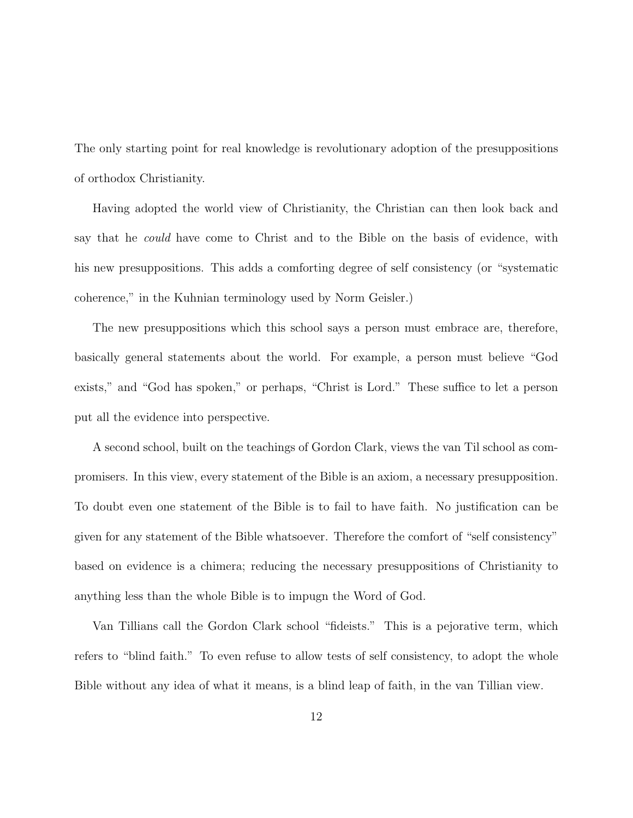The only starting point for real knowledge is revolutionary adoption of the presuppositions of orthodox Christianity.

Having adopted the world view of Christianity, the Christian can then look back and say that he could have come to Christ and to the Bible on the basis of evidence, with his new presuppositions. This adds a comforting degree of self consistency (or "systematic coherence," in the Kuhnian terminology used by Norm Geisler.)

The new presuppositions which this school says a person must embrace are, therefore, basically general statements about the world. For example, a person must believe "God exists," and "God has spoken," or perhaps, "Christ is Lord." These suffice to let a person put all the evidence into perspective.

A second school, built on the teachings of Gordon Clark, views the van Til school as compromisers. In this view, every statement of the Bible is an axiom, a necessary presupposition. To doubt even one statement of the Bible is to fail to have faith. No justification can be given for any statement of the Bible whatsoever. Therefore the comfort of "self consistency" based on evidence is a chimera; reducing the necessary presuppositions of Christianity to anything less than the whole Bible is to impugn the Word of God.

Van Tillians call the Gordon Clark school "fideists." This is a pejorative term, which refers to "blind faith." To even refuse to allow tests of self consistency, to adopt the whole Bible without any idea of what it means, is a blind leap of faith, in the van Tillian view.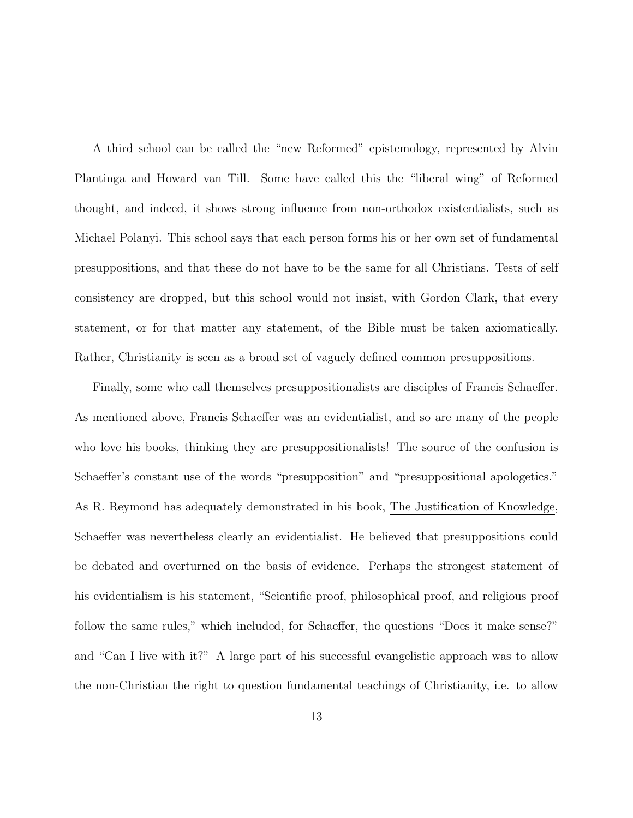A third school can be called the "new Reformed" epistemology, represented by Alvin Plantinga and Howard van Till. Some have called this the "liberal wing" of Reformed thought, and indeed, it shows strong influence from non-orthodox existentialists, such as Michael Polanyi. This school says that each person forms his or her own set of fundamental presuppositions, and that these do not have to be the same for all Christians. Tests of self consistency are dropped, but this school would not insist, with Gordon Clark, that every statement, or for that matter any statement, of the Bible must be taken axiomatically. Rather, Christianity is seen as a broad set of vaguely defined common presuppositions.

Finally, some who call themselves presuppositionalists are disciples of Francis Schaeffer. As mentioned above, Francis Schaeffer was an evidentialist, and so are many of the people who love his books, thinking they are presuppositionalists! The source of the confusion is Schaeffer's constant use of the words "presupposition" and "presuppositional apologetics." As R. Reymond has adequately demonstrated in his book, The Justification of Knowledge, Schaeffer was nevertheless clearly an evidentialist. He believed that presuppositions could be debated and overturned on the basis of evidence. Perhaps the strongest statement of his evidentialism is his statement, "Scientific proof, philosophical proof, and religious proof follow the same rules," which included, for Schaeffer, the questions "Does it make sense?" and "Can I live with it?" A large part of his successful evangelistic approach was to allow the non-Christian the right to question fundamental teachings of Christianity, i.e. to allow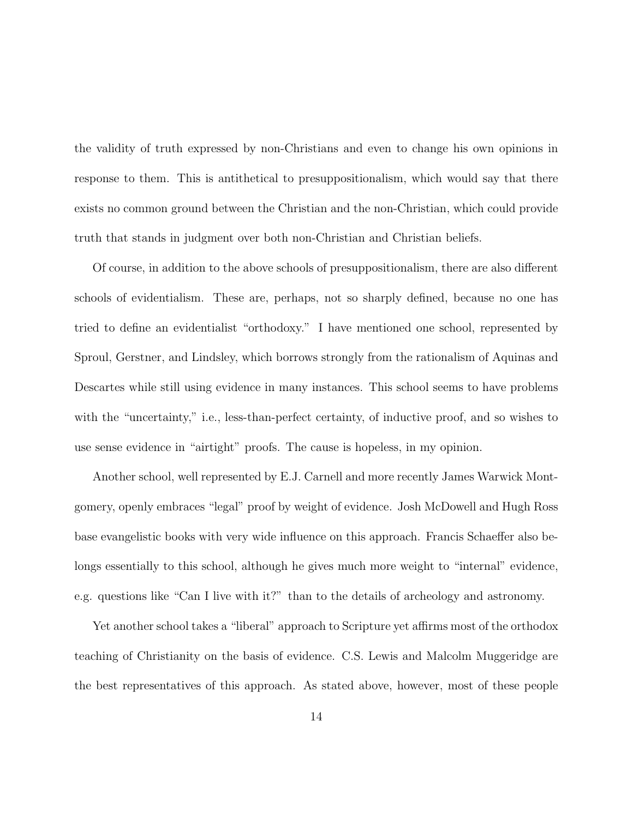the validity of truth expressed by non-Christians and even to change his own opinions in response to them. This is antithetical to presuppositionalism, which would say that there exists no common ground between the Christian and the non-Christian, which could provide truth that stands in judgment over both non-Christian and Christian beliefs.

Of course, in addition to the above schools of presuppositionalism, there are also different schools of evidentialism. These are, perhaps, not so sharply defined, because no one has tried to define an evidentialist "orthodoxy." I have mentioned one school, represented by Sproul, Gerstner, and Lindsley, which borrows strongly from the rationalism of Aquinas and Descartes while still using evidence in many instances. This school seems to have problems with the "uncertainty," i.e., less-than-perfect certainty, of inductive proof, and so wishes to use sense evidence in "airtight" proofs. The cause is hopeless, in my opinion.

Another school, well represented by E.J. Carnell and more recently James Warwick Montgomery, openly embraces "legal" proof by weight of evidence. Josh McDowell and Hugh Ross base evangelistic books with very wide influence on this approach. Francis Schaeffer also belongs essentially to this school, although he gives much more weight to "internal" evidence, e.g. questions like "Can I live with it?" than to the details of archeology and astronomy.

Yet another school takes a "liberal" approach to Scripture yet affirms most of the orthodox teaching of Christianity on the basis of evidence. C.S. Lewis and Malcolm Muggeridge are the best representatives of this approach. As stated above, however, most of these people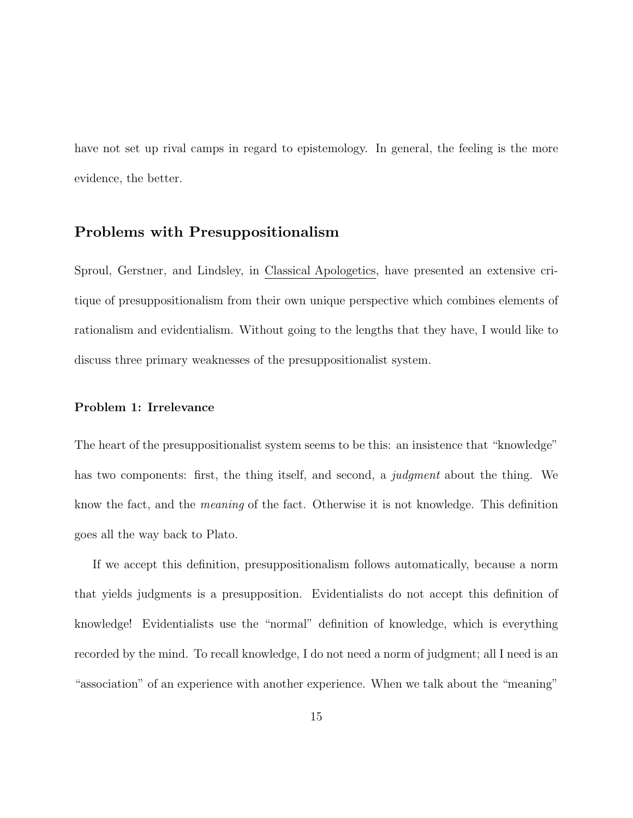have not set up rival camps in regard to epistemology. In general, the feeling is the more evidence, the better.

## **Problems with Presuppositionalism**

Sproul, Gerstner, and Lindsley, in Classical Apologetics, have presented an extensive critique of presuppositionalism from their own unique perspective which combines elements of rationalism and evidentialism. Without going to the lengths that they have, I would like to discuss three primary weaknesses of the presuppositionalist system.

### **Problem 1: Irrelevance**

The heart of the presuppositionalist system seems to be this: an insistence that "knowledge" has two components: first, the thing itself, and second, a *judgment* about the thing. We know the fact, and the meaning of the fact. Otherwise it is not knowledge. This definition goes all the way back to Plato.

If we accept this definition, presuppositionalism follows automatically, because a norm that yields judgments is a presupposition. Evidentialists do not accept this definition of knowledge! Evidentialists use the "normal" definition of knowledge, which is everything recorded by the mind. To recall knowledge, I do not need a norm of judgment; all I need is an "association" of an experience with another experience. When we talk about the "meaning"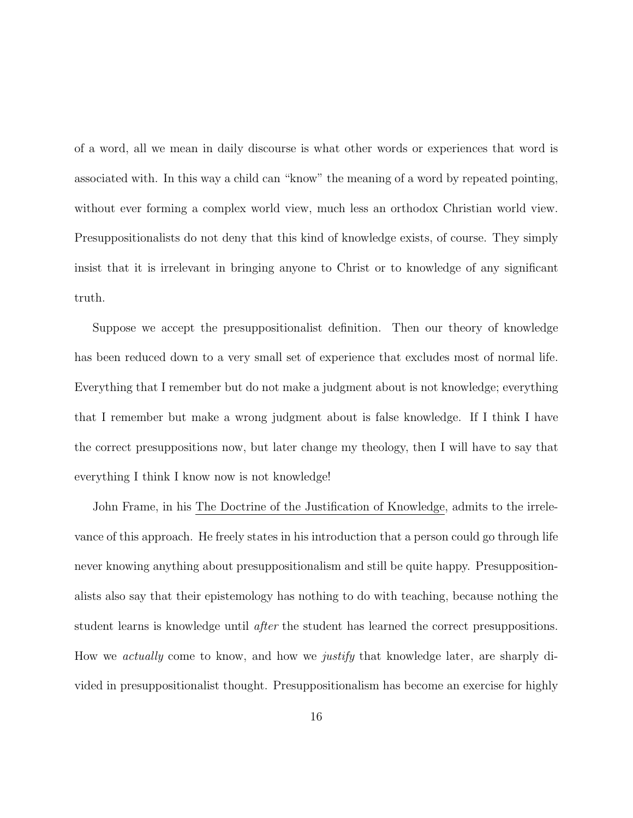of a word, all we mean in daily discourse is what other words or experiences that word is associated with. In this way a child can "know" the meaning of a word by repeated pointing, without ever forming a complex world view, much less an orthodox Christian world view. Presuppositionalists do not deny that this kind of knowledge exists, of course. They simply insist that it is irrelevant in bringing anyone to Christ or to knowledge of any significant truth.

Suppose we accept the presuppositionalist definition. Then our theory of knowledge has been reduced down to a very small set of experience that excludes most of normal life. Everything that I remember but do not make a judgment about is not knowledge; everything that I remember but make a wrong judgment about is false knowledge. If I think I have the correct presuppositions now, but later change my theology, then I will have to say that everything I think I know now is not knowledge!

John Frame, in his The Doctrine of the Justification of Knowledge, admits to the irrelevance of this approach. He freely states in his introduction that a person could go through life never knowing anything about presuppositionalism and still be quite happy. Presuppositionalists also say that their epistemology has nothing to do with teaching, because nothing the student learns is knowledge until *after* the student has learned the correct presuppositions. How we actually come to know, and how we justify that knowledge later, are sharply divided in presuppositionalist thought. Presuppositionalism has become an exercise for highly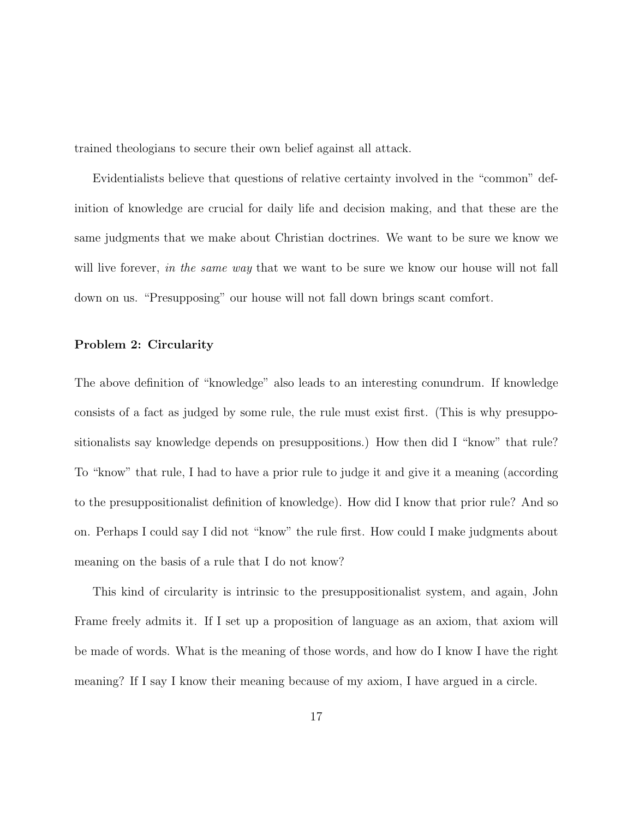trained theologians to secure their own belief against all attack.

Evidentialists believe that questions of relative certainty involved in the "common" definition of knowledge are crucial for daily life and decision making, and that these are the same judgments that we make about Christian doctrines. We want to be sure we know we will live forever, in the same way that we want to be sure we know our house will not fall down on us. "Presupposing" our house will not fall down brings scant comfort.

### **Problem 2: Circularity**

The above definition of "knowledge" also leads to an interesting conundrum. If knowledge consists of a fact as judged by some rule, the rule must exist first. (This is why presuppositionalists say knowledge depends on presuppositions.) How then did I "know" that rule? To "know" that rule, I had to have a prior rule to judge it and give it a meaning (according to the presuppositionalist definition of knowledge). How did I know that prior rule? And so on. Perhaps I could say I did not "know" the rule first. How could I make judgments about meaning on the basis of a rule that I do not know?

This kind of circularity is intrinsic to the presuppositionalist system, and again, John Frame freely admits it. If I set up a proposition of language as an axiom, that axiom will be made of words. What is the meaning of those words, and how do I know I have the right meaning? If I say I know their meaning because of my axiom, I have argued in a circle.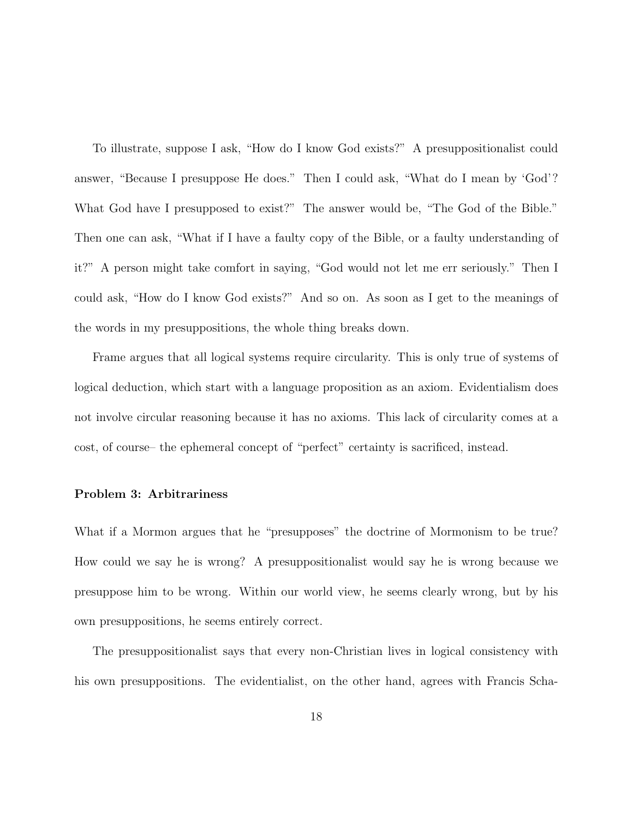To illustrate, suppose I ask, "How do I know God exists?" A presuppositionalist could answer, "Because I presuppose He does." Then I could ask, "What do I mean by 'God'? What God have I presupposed to exist?" The answer would be, "The God of the Bible." Then one can ask, "What if I have a faulty copy of the Bible, or a faulty understanding of it?" A person might take comfort in saying, "God would not let me err seriously." Then I could ask, "How do I know God exists?" And so on. As soon as I get to the meanings of the words in my presuppositions, the whole thing breaks down.

Frame argues that all logical systems require circularity. This is only true of systems of logical deduction, which start with a language proposition as an axiom. Evidentialism does not involve circular reasoning because it has no axioms. This lack of circularity comes at a cost, of course– the ephemeral concept of "perfect" certainty is sacrificed, instead.

### **Problem 3: Arbitrariness**

What if a Mormon argues that he "presupposes" the doctrine of Mormonism to be true? How could we say he is wrong? A presuppositionalist would say he is wrong because we presuppose him to be wrong. Within our world view, he seems clearly wrong, but by his own presuppositions, he seems entirely correct.

The presuppositionalist says that every non-Christian lives in logical consistency with his own presuppositions. The evidentialist, on the other hand, agrees with Francis Scha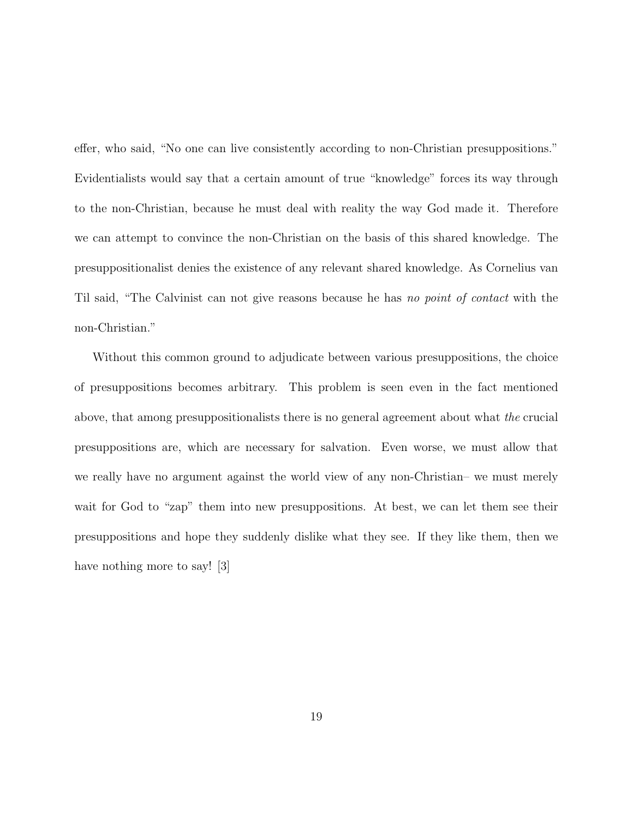effer, who said, "No one can live consistently according to non-Christian presuppositions." Evidentialists would say that a certain amount of true "knowledge" forces its way through to the non-Christian, because he must deal with reality the way God made it. Therefore we can attempt to convince the non-Christian on the basis of this shared knowledge. The presuppositionalist denies the existence of any relevant shared knowledge. As Cornelius van Til said, "The Calvinist can not give reasons because he has no point of contact with the non-Christian."

Without this common ground to adjudicate between various presuppositions, the choice of presuppositions becomes arbitrary. This problem is seen even in the fact mentioned above, that among presuppositionalists there is no general agreement about what the crucial presuppositions are, which are necessary for salvation. Even worse, we must allow that we really have no argument against the world view of any non-Christian– we must merely wait for God to "zap" them into new presuppositions. At best, we can let them see their presuppositions and hope they suddenly dislike what they see. If they like them, then we have nothing more to say! [3]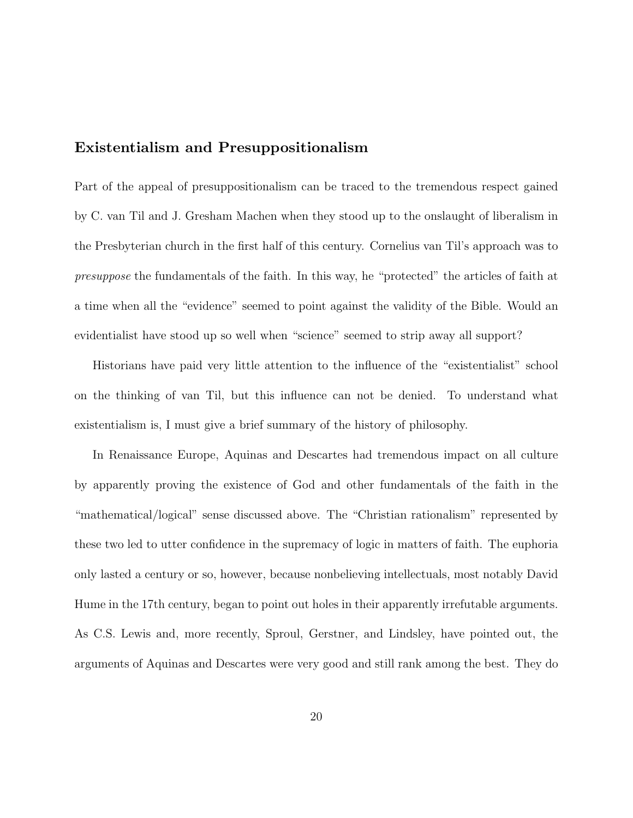## **Existentialism and Presuppositionalism**

Part of the appeal of presuppositionalism can be traced to the tremendous respect gained by C. van Til and J. Gresham Machen when they stood up to the onslaught of liberalism in the Presbyterian church in the first half of this century. Cornelius van Til's approach was to presuppose the fundamentals of the faith. In this way, he "protected" the articles of faith at a time when all the "evidence" seemed to point against the validity of the Bible. Would an evidentialist have stood up so well when "science" seemed to strip away all support?

Historians have paid very little attention to the influence of the "existentialist" school on the thinking of van Til, but this influence can not be denied. To understand what existentialism is, I must give a brief summary of the history of philosophy.

In Renaissance Europe, Aquinas and Descartes had tremendous impact on all culture by apparently proving the existence of God and other fundamentals of the faith in the "mathematical/logical" sense discussed above. The "Christian rationalism" represented by these two led to utter confidence in the supremacy of logic in matters of faith. The euphoria only lasted a century or so, however, because nonbelieving intellectuals, most notably David Hume in the 17th century, began to point out holes in their apparently irrefutable arguments. As C.S. Lewis and, more recently, Sproul, Gerstner, and Lindsley, have pointed out, the arguments of Aquinas and Descartes were very good and still rank among the best. They do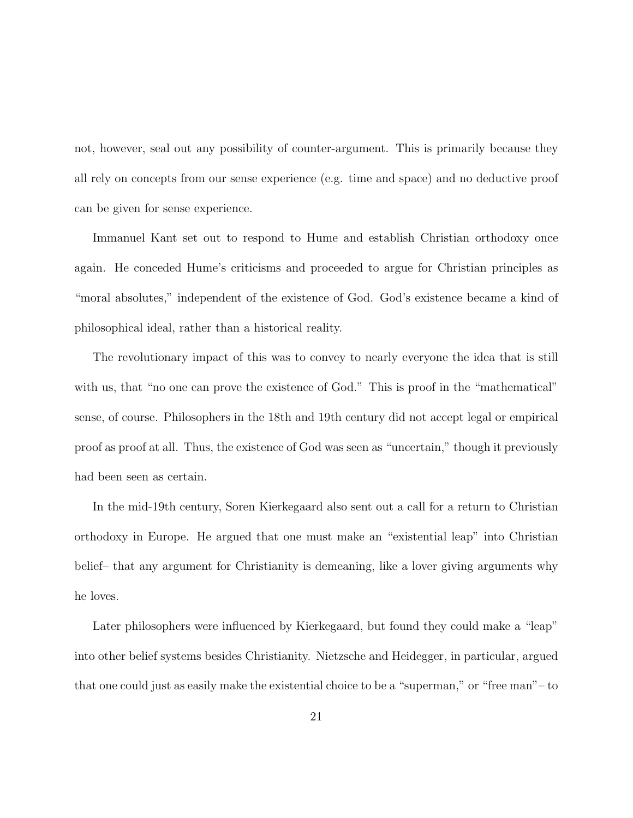not, however, seal out any possibility of counter-argument. This is primarily because they all rely on concepts from our sense experience (e.g. time and space) and no deductive proof can be given for sense experience.

Immanuel Kant set out to respond to Hume and establish Christian orthodoxy once again. He conceded Hume's criticisms and proceeded to argue for Christian principles as "moral absolutes," independent of the existence of God. God's existence became a kind of philosophical ideal, rather than a historical reality.

The revolutionary impact of this was to convey to nearly everyone the idea that is still with us, that "no one can prove the existence of God." This is proof in the "mathematical" sense, of course. Philosophers in the 18th and 19th century did not accept legal or empirical proof as proof at all. Thus, the existence of God was seen as "uncertain," though it previously had been seen as certain.

In the mid-19th century, Soren Kierkegaard also sent out a call for a return to Christian orthodoxy in Europe. He argued that one must make an "existential leap" into Christian belief– that any argument for Christianity is demeaning, like a lover giving arguments why he loves.

Later philosophers were influenced by Kierkegaard, but found they could make a "leap" into other belief systems besides Christianity. Nietzsche and Heidegger, in particular, argued that one could just as easily make the existential choice to be a "superman," or "free man"– to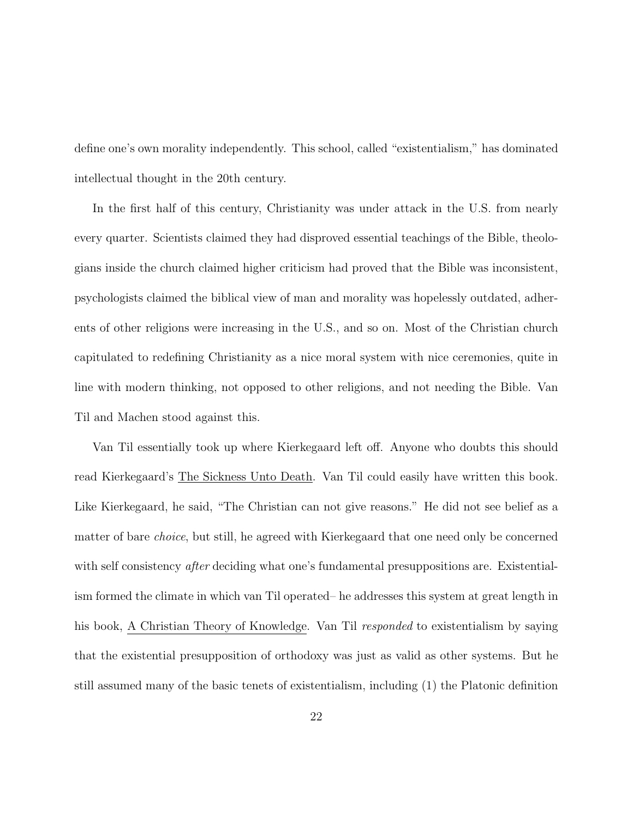define one's own morality independently. This school, called "existentialism," has dominated intellectual thought in the 20th century.

In the first half of this century, Christianity was under attack in the U.S. from nearly every quarter. Scientists claimed they had disproved essential teachings of the Bible, theologians inside the church claimed higher criticism had proved that the Bible was inconsistent, psychologists claimed the biblical view of man and morality was hopelessly outdated, adherents of other religions were increasing in the U.S., and so on. Most of the Christian church capitulated to redefining Christianity as a nice moral system with nice ceremonies, quite in line with modern thinking, not opposed to other religions, and not needing the Bible. Van Til and Machen stood against this.

Van Til essentially took up where Kierkegaard left off. Anyone who doubts this should read Kierkegaard's The Sickness Unto Death. Van Til could easily have written this book. Like Kierkegaard, he said, "The Christian can not give reasons." He did not see belief as a matter of bare choice, but still, he agreed with Kierkegaard that one need only be concerned with self consistency *after* deciding what one's fundamental presuppositions are. Existentialism formed the climate in which van Til operated– he addresses this system at great length in his book, A Christian Theory of Knowledge. Van Til responded to existentialism by saying that the existential presupposition of orthodoxy was just as valid as other systems. But he still assumed many of the basic tenets of existentialism, including (1) the Platonic definition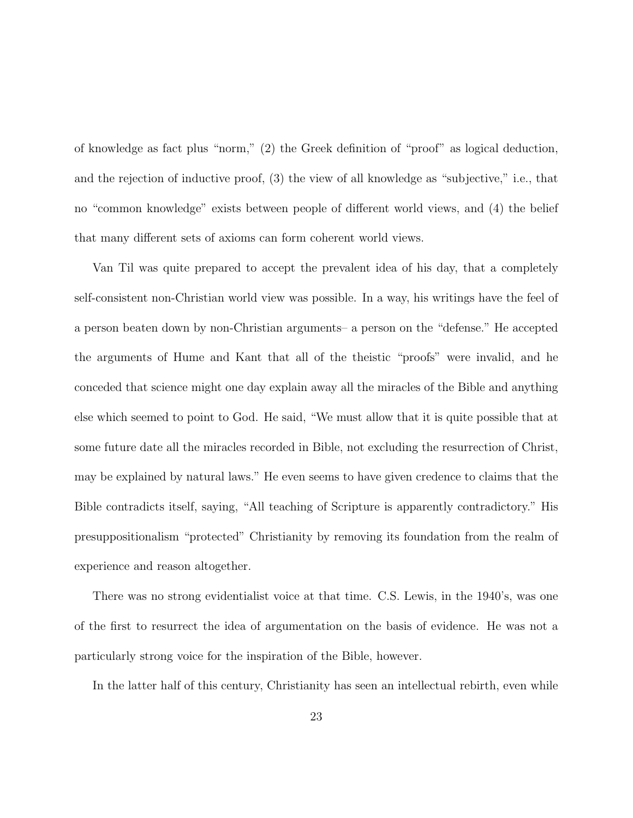of knowledge as fact plus "norm," (2) the Greek definition of "proof" as logical deduction, and the rejection of inductive proof, (3) the view of all knowledge as "subjective," i.e., that no "common knowledge" exists between people of different world views, and (4) the belief that many different sets of axioms can form coherent world views.

Van Til was quite prepared to accept the prevalent idea of his day, that a completely self-consistent non-Christian world view was possible. In a way, his writings have the feel of a person beaten down by non-Christian arguments– a person on the "defense." He accepted the arguments of Hume and Kant that all of the theistic "proofs" were invalid, and he conceded that science might one day explain away all the miracles of the Bible and anything else which seemed to point to God. He said, "We must allow that it is quite possible that at some future date all the miracles recorded in Bible, not excluding the resurrection of Christ, may be explained by natural laws." He even seems to have given credence to claims that the Bible contradicts itself, saying, "All teaching of Scripture is apparently contradictory." His presuppositionalism "protected" Christianity by removing its foundation from the realm of experience and reason altogether.

There was no strong evidentialist voice at that time. C.S. Lewis, in the 1940's, was one of the first to resurrect the idea of argumentation on the basis of evidence. He was not a particularly strong voice for the inspiration of the Bible, however.

In the latter half of this century, Christianity has seen an intellectual rebirth, even while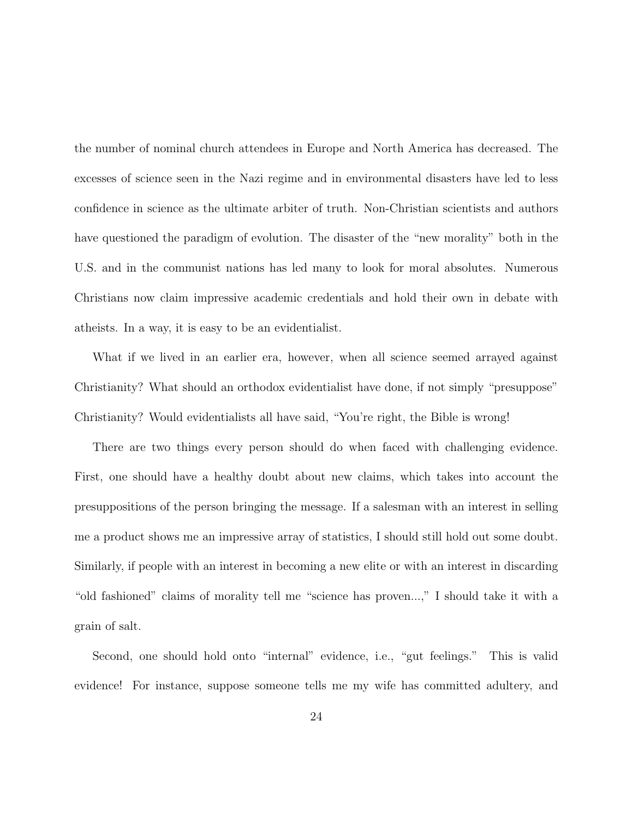the number of nominal church attendees in Europe and North America has decreased. The excesses of science seen in the Nazi regime and in environmental disasters have led to less confidence in science as the ultimate arbiter of truth. Non-Christian scientists and authors have questioned the paradigm of evolution. The disaster of the "new morality" both in the U.S. and in the communist nations has led many to look for moral absolutes. Numerous Christians now claim impressive academic credentials and hold their own in debate with atheists. In a way, it is easy to be an evidentialist.

What if we lived in an earlier era, however, when all science seemed arrayed against Christianity? What should an orthodox evidentialist have done, if not simply "presuppose" Christianity? Would evidentialists all have said, "You're right, the Bible is wrong!

There are two things every person should do when faced with challenging evidence. First, one should have a healthy doubt about new claims, which takes into account the presuppositions of the person bringing the message. If a salesman with an interest in selling me a product shows me an impressive array of statistics, I should still hold out some doubt. Similarly, if people with an interest in becoming a new elite or with an interest in discarding "old fashioned" claims of morality tell me "science has proven...," I should take it with a grain of salt.

Second, one should hold onto "internal" evidence, i.e., "gut feelings." This is valid evidence! For instance, suppose someone tells me my wife has committed adultery, and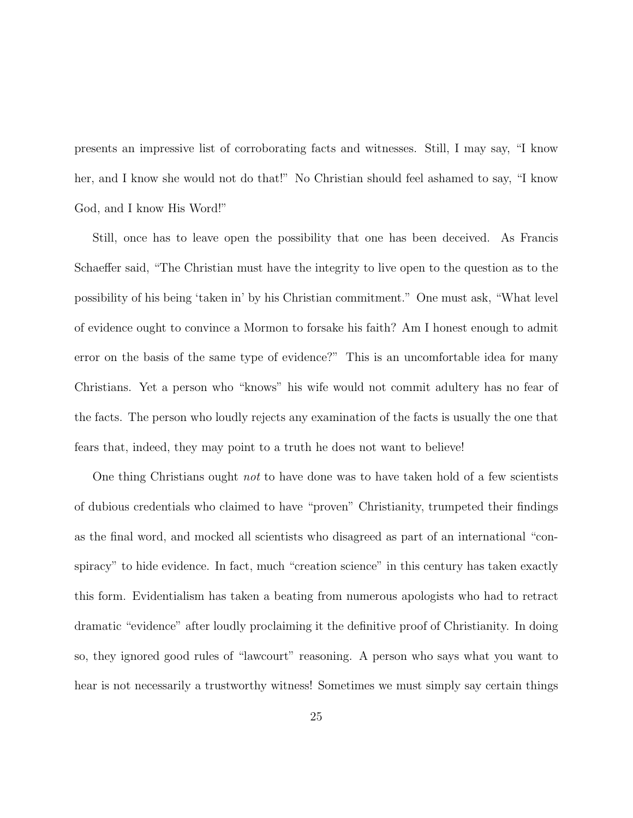presents an impressive list of corroborating facts and witnesses. Still, I may say, "I know her, and I know she would not do that!" No Christian should feel ashamed to say, "I know God, and I know His Word!"

Still, once has to leave open the possibility that one has been deceived. As Francis Schaeffer said, "The Christian must have the integrity to live open to the question as to the possibility of his being 'taken in' by his Christian commitment." One must ask, "What level of evidence ought to convince a Mormon to forsake his faith? Am I honest enough to admit error on the basis of the same type of evidence?" This is an uncomfortable idea for many Christians. Yet a person who "knows" his wife would not commit adultery has no fear of the facts. The person who loudly rejects any examination of the facts is usually the one that fears that, indeed, they may point to a truth he does not want to believe!

One thing Christians ought *not* to have done was to have taken hold of a few scientists of dubious credentials who claimed to have "proven" Christianity, trumpeted their findings as the final word, and mocked all scientists who disagreed as part of an international "conspiracy" to hide evidence. In fact, much "creation science" in this century has taken exactly this form. Evidentialism has taken a beating from numerous apologists who had to retract dramatic "evidence" after loudly proclaiming it the definitive proof of Christianity. In doing so, they ignored good rules of "lawcourt" reasoning. A person who says what you want to hear is not necessarily a trustworthy witness! Sometimes we must simply say certain things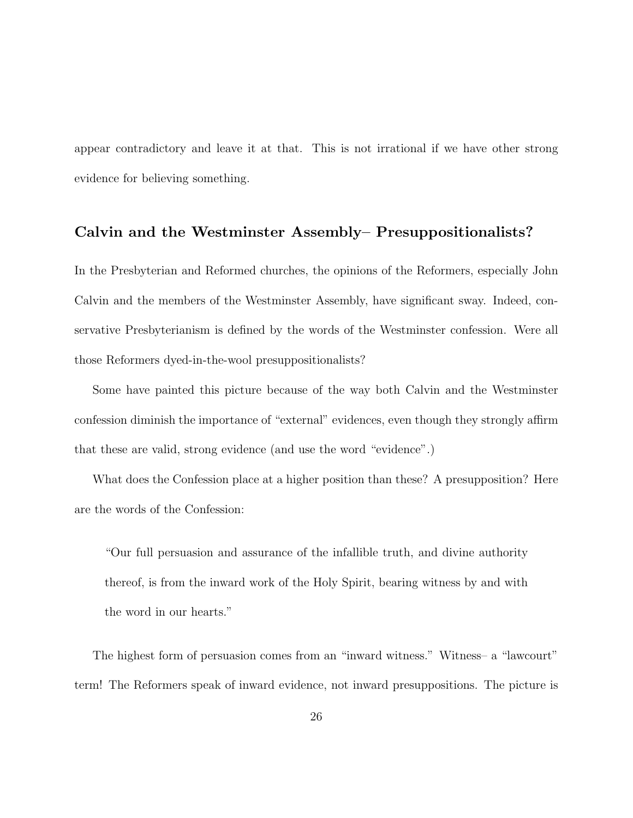appear contradictory and leave it at that. This is not irrational if we have other strong evidence for believing something.

## **Calvin and the Westminster Assembly– Presuppositionalists?**

In the Presbyterian and Reformed churches, the opinions of the Reformers, especially John Calvin and the members of the Westminster Assembly, have significant sway. Indeed, conservative Presbyterianism is defined by the words of the Westminster confession. Were all those Reformers dyed-in-the-wool presuppositionalists?

Some have painted this picture because of the way both Calvin and the Westminster confession diminish the importance of "external" evidences, even though they strongly affirm that these are valid, strong evidence (and use the word "evidence".)

What does the Confession place at a higher position than these? A presupposition? Here are the words of the Confession:

"Our full persuasion and assurance of the infallible truth, and divine authority thereof, is from the inward work of the Holy Spirit, bearing witness by and with the word in our hearts."

The highest form of persuasion comes from an "inward witness." Witness– a "lawcourt" term! The Reformers speak of inward evidence, not inward presuppositions. The picture is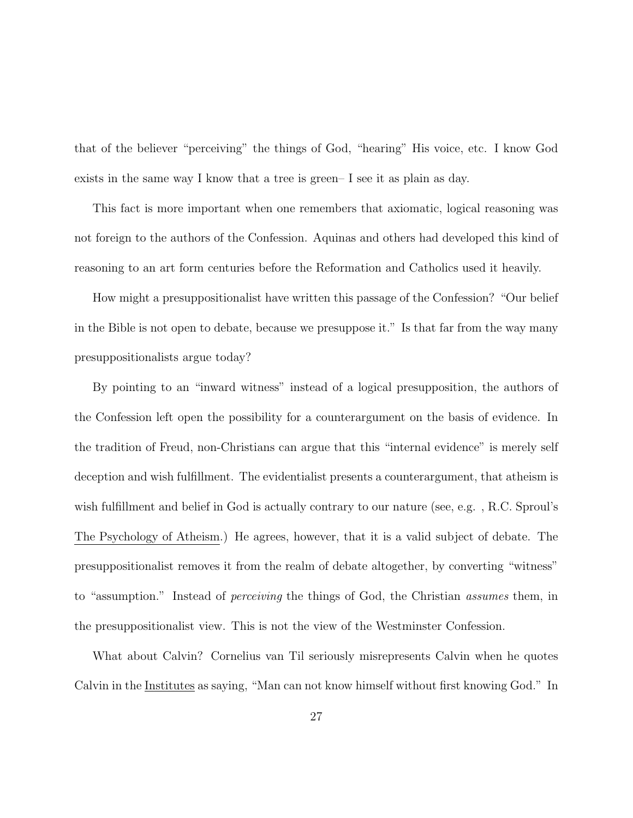that of the believer "perceiving" the things of God, "hearing" His voice, etc. I know God exists in the same way I know that a tree is green– I see it as plain as day.

This fact is more important when one remembers that axiomatic, logical reasoning was not foreign to the authors of the Confession. Aquinas and others had developed this kind of reasoning to an art form centuries before the Reformation and Catholics used it heavily.

How might a presuppositionalist have written this passage of the Confession? "Our belief in the Bible is not open to debate, because we presuppose it." Is that far from the way many presuppositionalists argue today?

By pointing to an "inward witness" instead of a logical presupposition, the authors of the Confession left open the possibility for a counterargument on the basis of evidence. In the tradition of Freud, non-Christians can argue that this "internal evidence" is merely self deception and wish fulfillment. The evidentialist presents a counterargument, that atheism is wish fulfillment and belief in God is actually contrary to our nature (see, e.g., R.C. Sproul's The Psychology of Atheism.) He agrees, however, that it is a valid subject of debate. The presuppositionalist removes it from the realm of debate altogether, by converting "witness" to "assumption." Instead of perceiving the things of God, the Christian assumes them, in the presuppositionalist view. This is not the view of the Westminster Confession.

What about Calvin? Cornelius van Til seriously misrepresents Calvin when he quotes Calvin in the Institutes as saying, "Man can not know himself without first knowing God." In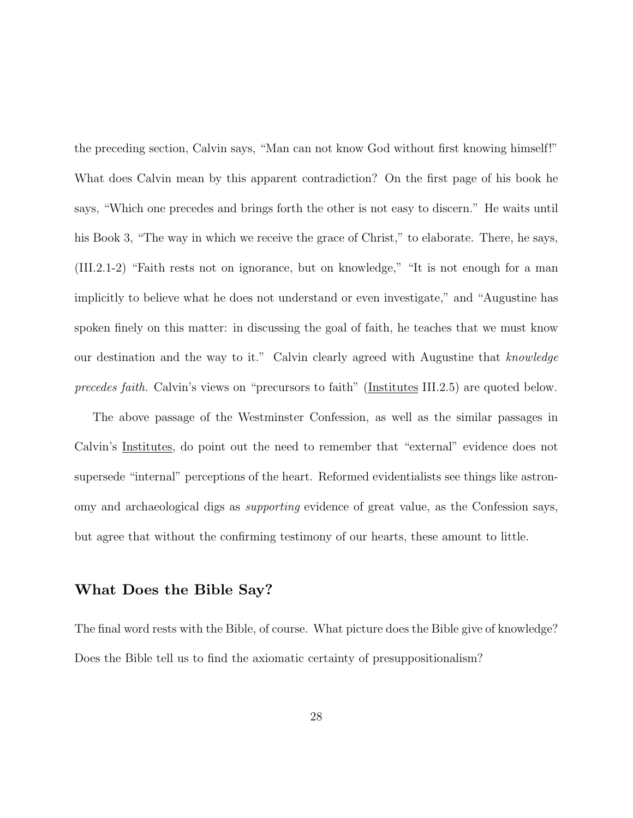the preceding section, Calvin says, "Man can not know God without first knowing himself!" What does Calvin mean by this apparent contradiction? On the first page of his book he says, "Which one precedes and brings forth the other is not easy to discern." He waits until his Book 3, "The way in which we receive the grace of Christ," to elaborate. There, he says, (III.2.1-2) "Faith rests not on ignorance, but on knowledge," "It is not enough for a man implicitly to believe what he does not understand or even investigate," and "Augustine has spoken finely on this matter: in discussing the goal of faith, he teaches that we must know our destination and the way to it." Calvin clearly agreed with Augustine that knowledge precedes faith. Calvin's views on "precursors to faith" (Institutes III.2.5) are quoted below.

The above passage of the Westminster Confession, as well as the similar passages in Calvin's Institutes, do point out the need to remember that "external" evidence does not supersede "internal" perceptions of the heart. Reformed evidentialists see things like astronomy and archaeological digs as supporting evidence of great value, as the Confession says, but agree that without the confirming testimony of our hearts, these amount to little.

## **What Does the Bible Say?**

The final word rests with the Bible, of course. What picture does the Bible give of knowledge? Does the Bible tell us to find the axiomatic certainty of presuppositionalism?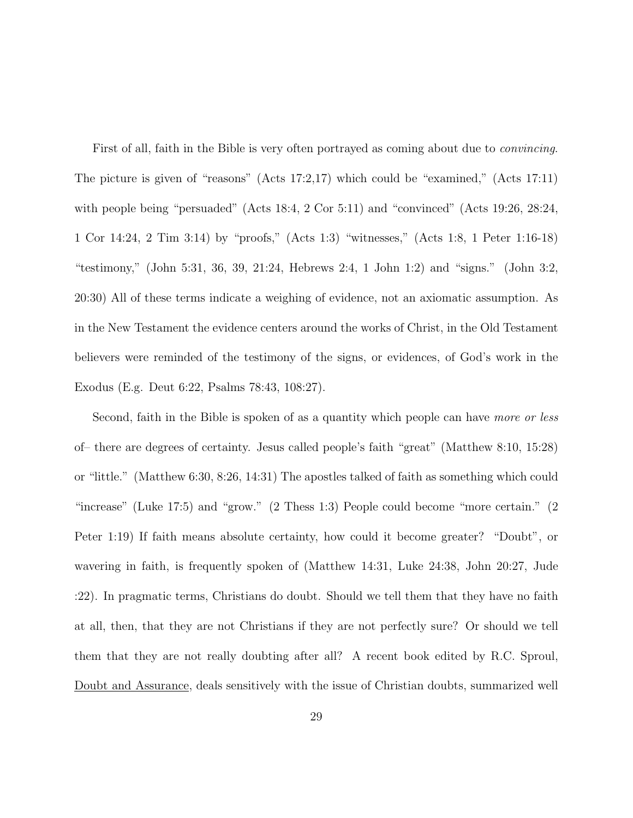First of all, faith in the Bible is very often portrayed as coming about due to *convincing*. The picture is given of "reasons" (Acts 17:2,17) which could be "examined," (Acts 17:11) with people being "persuaded" (Acts 18:4, 2 Cor 5:11) and "convinced" (Acts 19:26, 28:24, 1 Cor 14:24, 2 Tim 3:14) by "proofs," (Acts 1:3) "witnesses," (Acts 1:8, 1 Peter 1:16-18) "testimony," (John 5:31, 36, 39, 21:24, Hebrews 2:4, 1 John 1:2) and "signs." (John 3:2, 20:30) All of these terms indicate a weighing of evidence, not an axiomatic assumption. As in the New Testament the evidence centers around the works of Christ, in the Old Testament believers were reminded of the testimony of the signs, or evidences, of God's work in the Exodus (E.g. Deut 6:22, Psalms 78:43, 108:27).

Second, faith in the Bible is spoken of as a quantity which people can have more or less of– there are degrees of certainty. Jesus called people's faith "great" (Matthew 8:10, 15:28) or "little." (Matthew 6:30, 8:26, 14:31) The apostles talked of faith as something which could "increase" (Luke 17:5) and "grow." (2 Thess 1:3) People could become "more certain." (2 Peter 1:19) If faith means absolute certainty, how could it become greater? "Doubt", or wavering in faith, is frequently spoken of (Matthew 14:31, Luke 24:38, John 20:27, Jude :22). In pragmatic terms, Christians do doubt. Should we tell them that they have no faith at all, then, that they are not Christians if they are not perfectly sure? Or should we tell them that they are not really doubting after all? A recent book edited by R.C. Sproul, Doubt and Assurance, deals sensitively with the issue of Christian doubts, summarized well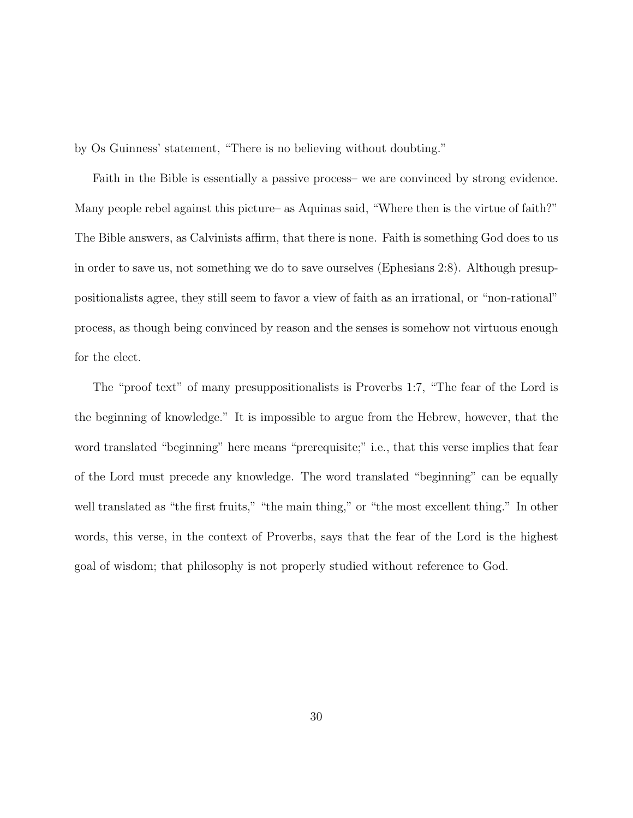by Os Guinness' statement, "There is no believing without doubting."

Faith in the Bible is essentially a passive process– we are convinced by strong evidence. Many people rebel against this picture– as Aquinas said, "Where then is the virtue of faith?" The Bible answers, as Calvinists affirm, that there is none. Faith is something God does to us in order to save us, not something we do to save ourselves (Ephesians 2:8). Although presuppositionalists agree, they still seem to favor a view of faith as an irrational, or "non-rational" process, as though being convinced by reason and the senses is somehow not virtuous enough for the elect.

The "proof text" of many presuppositionalists is Proverbs 1:7, "The fear of the Lord is the beginning of knowledge." It is impossible to argue from the Hebrew, however, that the word translated "beginning" here means "prerequisite;" i.e., that this verse implies that fear of the Lord must precede any knowledge. The word translated "beginning" can be equally well translated as "the first fruits," "the main thing," or "the most excellent thing." In other words, this verse, in the context of Proverbs, says that the fear of the Lord is the highest goal of wisdom; that philosophy is not properly studied without reference to God.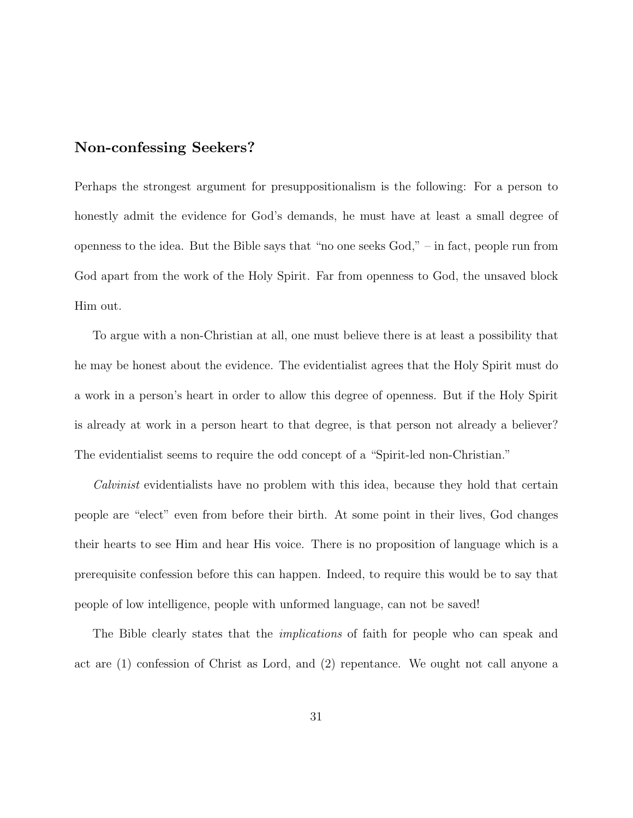## **Non-confessing Seekers?**

Perhaps the strongest argument for presuppositionalism is the following: For a person to honestly admit the evidence for God's demands, he must have at least a small degree of openness to the idea. But the Bible says that "no one seeks God," – in fact, people run from God apart from the work of the Holy Spirit. Far from openness to God, the unsaved block Him out.

To argue with a non-Christian at all, one must believe there is at least a possibility that he may be honest about the evidence. The evidentialist agrees that the Holy Spirit must do a work in a person's heart in order to allow this degree of openness. But if the Holy Spirit is already at work in a person heart to that degree, is that person not already a believer? The evidentialist seems to require the odd concept of a "Spirit-led non-Christian."

Calvinist evidentialists have no problem with this idea, because they hold that certain people are "elect" even from before their birth. At some point in their lives, God changes their hearts to see Him and hear His voice. There is no proposition of language which is a prerequisite confession before this can happen. Indeed, to require this would be to say that people of low intelligence, people with unformed language, can not be saved!

The Bible clearly states that the *implications* of faith for people who can speak and act are (1) confession of Christ as Lord, and (2) repentance. We ought not call anyone a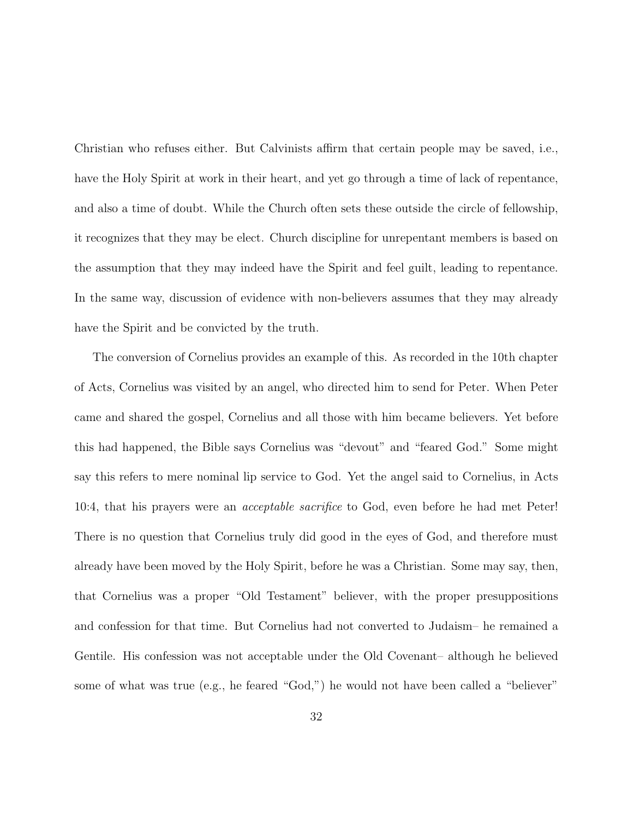Christian who refuses either. But Calvinists affirm that certain people may be saved, i.e., have the Holy Spirit at work in their heart, and yet go through a time of lack of repentance, and also a time of doubt. While the Church often sets these outside the circle of fellowship, it recognizes that they may be elect. Church discipline for unrepentant members is based on the assumption that they may indeed have the Spirit and feel guilt, leading to repentance. In the same way, discussion of evidence with non-believers assumes that they may already have the Spirit and be convicted by the truth.

The conversion of Cornelius provides an example of this. As recorded in the 10th chapter of Acts, Cornelius was visited by an angel, who directed him to send for Peter. When Peter came and shared the gospel, Cornelius and all those with him became believers. Yet before this had happened, the Bible says Cornelius was "devout" and "feared God." Some might say this refers to mere nominal lip service to God. Yet the angel said to Cornelius, in Acts 10:4, that his prayers were an acceptable sacrifice to God, even before he had met Peter! There is no question that Cornelius truly did good in the eyes of God, and therefore must already have been moved by the Holy Spirit, before he was a Christian. Some may say, then, that Cornelius was a proper "Old Testament" believer, with the proper presuppositions and confession for that time. But Cornelius had not converted to Judaism– he remained a Gentile. His confession was not acceptable under the Old Covenant– although he believed some of what was true (e.g., he feared "God,") he would not have been called a "believer"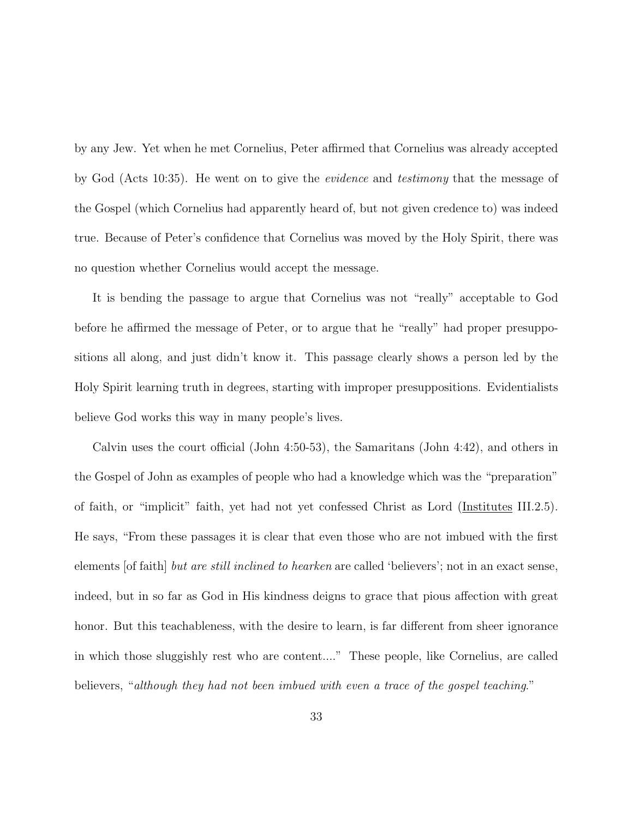by any Jew. Yet when he met Cornelius, Peter affirmed that Cornelius was already accepted by God (Acts 10:35). He went on to give the evidence and testimony that the message of the Gospel (which Cornelius had apparently heard of, but not given credence to) was indeed true. Because of Peter's confidence that Cornelius was moved by the Holy Spirit, there was no question whether Cornelius would accept the message.

It is bending the passage to argue that Cornelius was not "really" acceptable to God before he affirmed the message of Peter, or to argue that he "really" had proper presuppositions all along, and just didn't know it. This passage clearly shows a person led by the Holy Spirit learning truth in degrees, starting with improper presuppositions. Evidentialists believe God works this way in many people's lives.

Calvin uses the court official (John 4:50-53), the Samaritans (John 4:42), and others in the Gospel of John as examples of people who had a knowledge which was the "preparation" of faith, or "implicit" faith, yet had not yet confessed Christ as Lord (Institutes III.2.5). He says, "From these passages it is clear that even those who are not imbued with the first elements [of faith] but are still inclined to hearken are called 'believers'; not in an exact sense, indeed, but in so far as God in His kindness deigns to grace that pious affection with great honor. But this teachableness, with the desire to learn, is far different from sheer ignorance in which those sluggishly rest who are content...." These people, like Cornelius, are called believers, "although they had not been imbued with even a trace of the gospel teaching."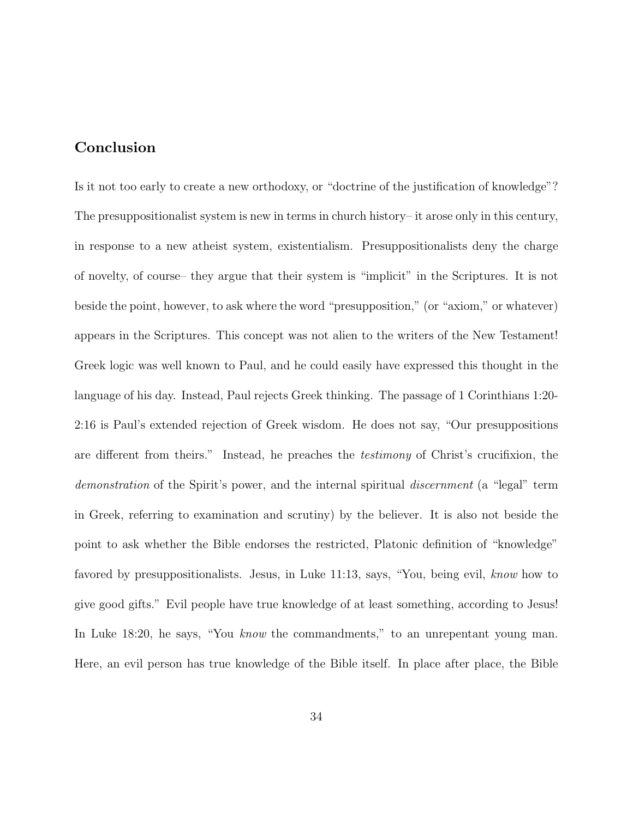## **Conclusion**

Is it not too early to create a new orthodoxy, or "doctrine of the justification of knowledge"? The presuppositionalist system is new in terms in church history– it arose only in this century, in response to a new atheist system, existentialism. Presuppositionalists deny the charge of novelty, of course– they argue that their system is "implicit" in the Scriptures. It is not beside the point, however, to ask where the word "presupposition," (or "axiom," or whatever) appears in the Scriptures. This concept was not alien to the writers of the New Testament! Greek logic was well known to Paul, and he could easily have expressed this thought in the language of his day. Instead, Paul rejects Greek thinking. The passage of 1 Corinthians 1:20- 2:16 is Paul's extended rejection of Greek wisdom. He does not say, "Our presuppositions are different from theirs." Instead, he preaches the testimony of Christ's crucifixion, the demonstration of the Spirit's power, and the internal spiritual *discernment* (a "legal" term in Greek, referring to examination and scrutiny) by the believer. It is also not beside the point to ask whether the Bible endorses the restricted, Platonic definition of "knowledge" favored by presuppositionalists. Jesus, in Luke 11:13, says, "You, being evil, know how to give good gifts." Evil people have true knowledge of at least something, according to Jesus! In Luke 18:20, he says, "You know the commandments," to an unrepentant young man. Here, an evil person has true knowledge of the Bible itself. In place after place, the Bible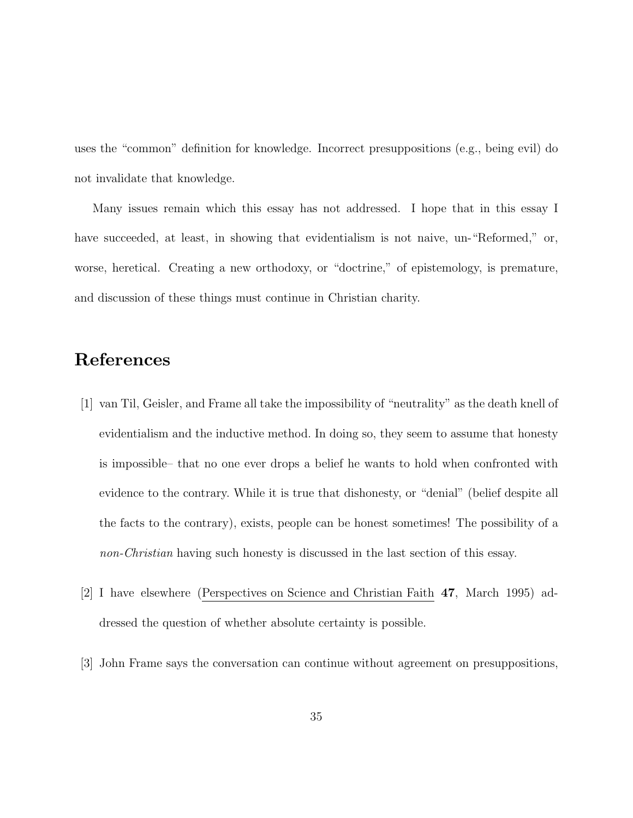uses the "common" definition for knowledge. Incorrect presuppositions (e.g., being evil) do not invalidate that knowledge.

Many issues remain which this essay has not addressed. I hope that in this essay I have succeeded, at least, in showing that evidentialism is not naive, un-"Reformed," or, worse, heretical. Creating a new orthodoxy, or "doctrine," of epistemology, is premature, and discussion of these things must continue in Christian charity.

# **References**

- [1] van Til, Geisler, and Frame all take the impossibility of "neutrality" as the death knell of evidentialism and the inductive method. In doing so, they seem to assume that honesty is impossible– that no one ever drops a belief he wants to hold when confronted with evidence to the contrary. While it is true that dishonesty, or "denial" (belief despite all the facts to the contrary), exists, people can be honest sometimes! The possibility of a non-Christian having such honesty is discussed in the last section of this essay.
- [2] I have elsewhere (Perspectives on Science and Christian Faith **47**, March 1995) addressed the question of whether absolute certainty is possible.
- [3] John Frame says the conversation can continue without agreement on presuppositions,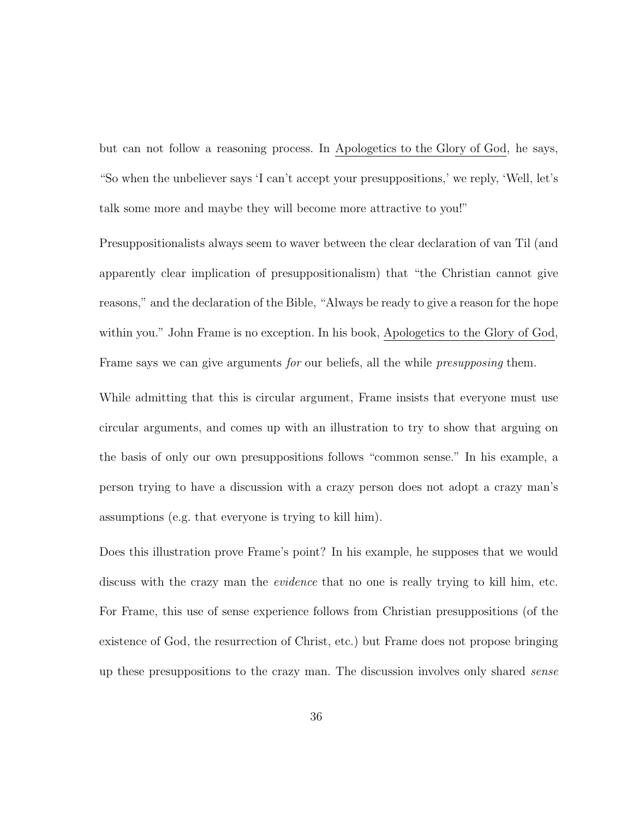but can not follow a reasoning process. In Apologetics to the Glory of God, he says, "So when the unbeliever says 'I can't accept your presuppositions,' we reply, 'Well, let's talk some more and maybe they will become more attractive to you!"

Presuppositionalists always seem to waver between the clear declaration of van Til (and apparently clear implication of presuppositionalism) that "the Christian cannot give reasons," and the declaration of the Bible, "Always be ready to give a reason for the hope within you." John Frame is no exception. In his book, Apologetics to the Glory of God, Frame says we can give arguments for our beliefs, all the while *presupposing* them.

While admitting that this is circular argument, Frame insists that everyone must use circular arguments, and comes up with an illustration to try to show that arguing on the basis of only our own presuppositions follows "common sense." In his example, a person trying to have a discussion with a crazy person does not adopt a crazy man's assumptions (e.g. that everyone is trying to kill him).

Does this illustration prove Frame's point? In his example, he supposes that we would discuss with the crazy man the *evidence* that no one is really trying to kill him, etc. For Frame, this use of sense experience follows from Christian presuppositions (of the existence of God, the resurrection of Christ, etc.) but Frame does not propose bringing up these presuppositions to the crazy man. The discussion involves only shared sense